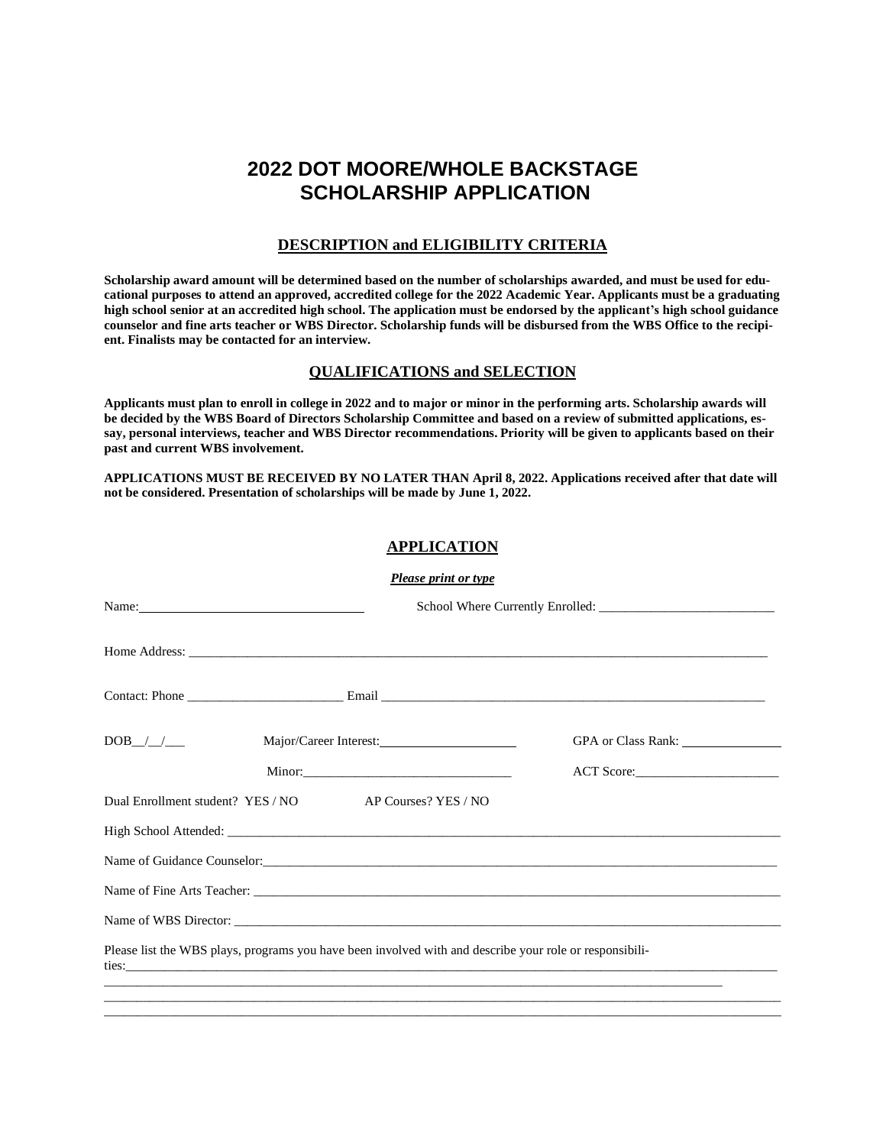# **2022 DOT MOORE/WHOLE BACKSTAGE SCHOLARSHIP APPLICATION**

## **DESCRIPTION and ELIGIBILITY CRITERIA**

Scholarship award amount will be determined based on the number of scholarships awarded, and must be used for educational purposes to attend an approved, accredited college for the 2022 Academic Year. Applicants must be a graduating high school senior at an accredited high school. The application must be endorsed by the applicant's high school guidance counselor and fine arts teacher or WBS Director. Scholarship funds will be disbursed from the WBS Office to the recipi**ent. Finalists may be contacted for an interview.**

### **QUALIFICATIONS and SELECTION**

Applicants must plan to enroll in college in 2022 and to major or minor in the performing arts. Scholarship awards will be decided by the WBS Board of Directors Scholarship Committee and based on a review of submitted applications, essay, personal interviews, teacher and WBS Director recommendations. Priority will be given to applicants based on their **past and current WBS involvement.**

**APPLICATIONS MUST BE RECEIVED BY NO LATER THAN April 8, 2022. Applications received after that date will not be considered. Presentation of scholarships will be made by June 1, 2022.**

#### **APPLICATION**

| <b>Please print or type</b>                                                                                                                                                                                                   |                        |  |
|-------------------------------------------------------------------------------------------------------------------------------------------------------------------------------------------------------------------------------|------------------------|--|
| Name: Name and the second contract of the second contract of the second contract of the second contract of the second contract of the second contract of the second contract of the second contract of the second contract of |                        |  |
|                                                                                                                                                                                                                               |                        |  |
|                                                                                                                                                                                                                               |                        |  |
| $DOB$ <sub>_/_/__</sub>                                                                                                                                                                                                       | Major/Career Interest: |  |
|                                                                                                                                                                                                                               |                        |  |
| Dual Enrollment student? YES / NO AP Courses? YES / NO                                                                                                                                                                        |                        |  |
|                                                                                                                                                                                                                               |                        |  |
|                                                                                                                                                                                                                               |                        |  |
|                                                                                                                                                                                                                               |                        |  |
|                                                                                                                                                                                                                               |                        |  |
| Please list the WBS plays, programs you have been involved with and describe your role or responsibili-                                                                                                                       |                        |  |
| ,我们也不能在这里的时候,我们也不能在这里的时候,我们也不能会在这里,我们也不能会不能会不能会不能会不能会不能会不能会。""我们,我们也不能会不能会不能会不能会                                                                                                                                              |                        |  |

\_\_\_\_\_\_\_\_\_\_\_\_\_\_\_\_\_\_\_\_\_\_\_\_\_\_\_\_\_\_\_\_\_\_\_\_\_\_\_\_\_\_\_\_\_\_\_\_\_\_\_\_\_\_\_\_\_\_\_\_\_\_\_\_\_\_\_\_\_\_\_\_\_\_\_\_\_\_\_\_\_\_\_\_\_\_\_\_\_\_\_\_\_\_\_\_\_\_\_\_\_\_\_\_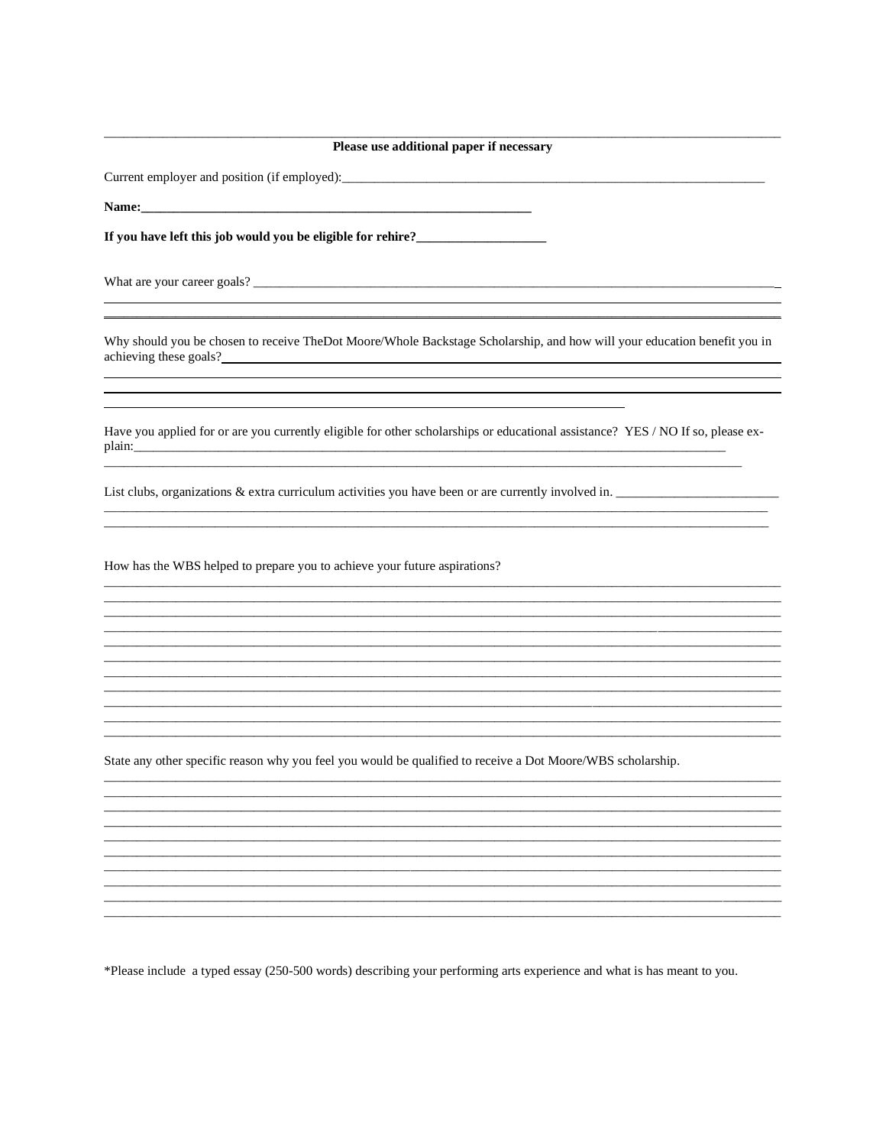| Please use additional paper if necessary                                                                                                           |  |  |
|----------------------------------------------------------------------------------------------------------------------------------------------------|--|--|
|                                                                                                                                                    |  |  |
|                                                                                                                                                    |  |  |
|                                                                                                                                                    |  |  |
| <u> 1989 - Andrea Stadt Brandenburg, amerikansk politiker (d. 1989)</u>                                                                            |  |  |
| Why should you be chosen to receive TheDot Moore/Whole Backstage Scholarship, and how will your education benefit you in<br>achieving these goals? |  |  |
| Have you applied for or are you currently eligible for other scholarships or educational assistance? YES / NO If so, please ex-                    |  |  |
| List clubs, organizations & extra curriculum activities you have been or are currently involved in.                                                |  |  |
| How has the WBS helped to prepare you to achieve your future aspirations?                                                                          |  |  |
| State any other specific reason why you feel you would be qualified to receive a Dot Moore/WBS scholarship.                                        |  |  |
|                                                                                                                                                    |  |  |
| *Please include a typed essay (250-500 words) describing your performing arts experience and what is has meant to you.                             |  |  |